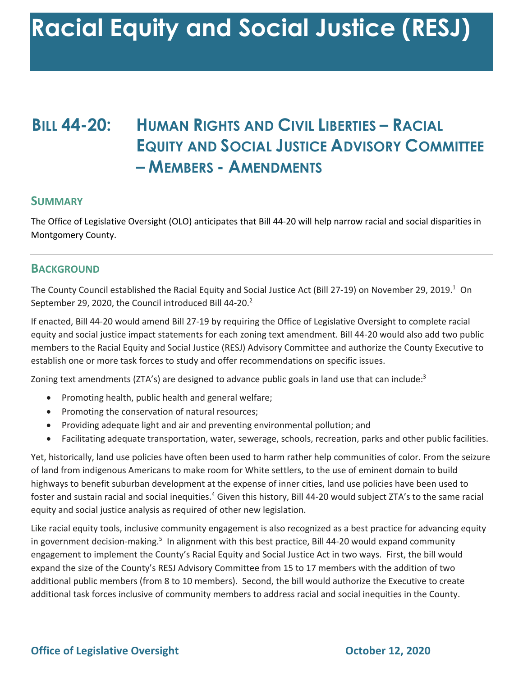# **BILL 44-20: HUMAN RIGHTS AND CIVIL LIBERTIES – RACIAL EQUITY AND SOCIAL JUSTICE ADVISORY COMMITTEE – MEMBERS - AMENDMENTS**

#### **SUMMARY**

 The Office of Legislative Oversight (OLO) anticipates that Bill 44-20 will help narrow racial and social disparities in Montgomery County.

#### **BACKGROUND**

The County Council established the Racial Equity and Social Justice Act (Bill 27-19) on November 29, 2019.<sup>1</sup> On September 29, 2020, the Council introduced Bill 44-20. $^2$ 

 If enacted, Bill 44-20 would amend Bill 27-19 by requiring the Office of Legislative Oversight to complete racial equity and social justice impact statements for each zoning text amendment. Bill 44-20 would also add two public members to the Racial Equity and Social Justice (RESJ) Advisory Committee and authorize the County Executive to establish one or more task forces to study and offer recommendations on specific issues.

Zoning text amendments (ZTA's) are designed to advance public goals in land use that can include:<sup>3</sup>

- Promoting health, public health and general welfare;
- Promoting the conservation of natural resources;
- Providing adequate light and air and preventing environmental pollution; and
- Facilitating adequate transportation, water, sewerage, schools, recreation, parks and other public facilities.

 Yet, historically, land use policies have often been used to harm rather help communities of color. From the seizure of land from indigenous Americans to make room for White settlers, to the use of eminent domain to build highways to benefit suburban development at the expense of inner cities, land use policies have been used to foster and sustain racial and social inequities.<sup>4</sup> Given this history, Bill 44-20 would subject ZTA's to the same racial equity and social justice analysis as required of other new legislation.

in government decision-making.<sup>5</sup> In alignment with this best practice, Bill 44-20 would expand community engagement to implement the County's Racial Equity and Social Justice Act in two ways. First, the bill would additional public members (from 8 to 10 members). Second, the bill would authorize the Executive to create additional task forces inclusive of community members to address racial and social inequities in the County. Like racial equity tools, inclusive community engagement is also recognized as a best practice for advancing equity expand the size of the County's RESJ Advisory Committee from 15 to 17 members with the addition of two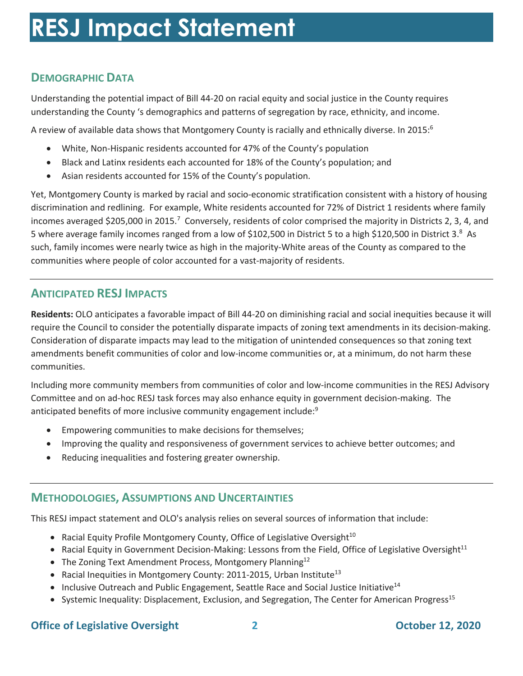# **DEMOGRAPHIC DATA**

 Understanding the potential impact of Bill 44-20 on racial equity and social justice in the County requires understanding the County 's demographics and patterns of segregation by race, ethnicity, and income.

A review of available data shows that Montgomery County is racially and ethnically diverse. In 2015:<sup>6</sup>

- White, Non-Hispanic residents accounted for 47% of the County's population
- Black and Latinx residents each accounted for 18% of the County's population; and
- Asian residents accounted for 15% of the County's population.

 Yet, Montgomery County is marked by racial and socio-economic stratification consistent with a history of housing discrimination and redlining. For example, White residents accounted for 72% of District 1 residents where family incomes averaged \$205,000 in 2015.<sup>7</sup> Conversely, residents of color comprised the majority in Districts 2, 3, 4, and 5 where average family incomes ranged from a low of \$102,500 in District 5 to a high \$120,500 in District 3.8 As such, family incomes were nearly twice as high in the majority-White areas of the County as compared to the communities where people of color accounted for a vast-majority of residents.

# **ANTICIPATED RESJ IMPACTS**

 **Residents:** OLO anticipates a favorable impact of Bill 44-20 on diminishing racial and social inequities because it will require the Council to consider the potentially disparate impacts of zoning text amendments in its decision-making. Consideration of disparate impacts may lead to the mitigation of unintended consequences so that zoning text amendments benefit communities of color and low-income communities or, at a minimum, do not harm these communities.

 Committee and on ad-hoc RESJ task forces may also enhance equity in government decision-making. The Including more community members from communities of color and low-income communities in the RESJ Advisory anticipated benefits of more inclusive community engagement include: $9$ 

- Empowering communities to make decisions for themselves;
- Improving the quality and responsiveness of government services to achieve better outcomes; and
- Reducing inequalities and fostering greater ownership.

#### **METHODOLOGIES, ASSUMPTIONS AND UNCERTAINTIES**

This RESJ impact statement and OLO's analysis relies on several sources of information that include:

- Racial Equity Profile Montgomery County, Office of Legislative Oversight<sup>10</sup>
- Racial Equity in Government Decision-Making: Lessons from the Field, Office of Legislative Oversight<sup>11</sup>
- The Zoning Text Amendment Process, Montgomery Planning<sup>12</sup>
- Racial Inequities in Montgomery County: 2011-2015, Urban Institute<sup>13</sup>
- Inclusive Outreach and Public Engagement, Seattle Race and Social Justice Initiative<sup>14</sup>
- Systemic Inequality: Displacement, Exclusion, and Segregation, The Center for American Progress<sup>15</sup>

#### **Office of Legislative Oversight** 2 **2 Company 12, 2020 October 12, 2020**